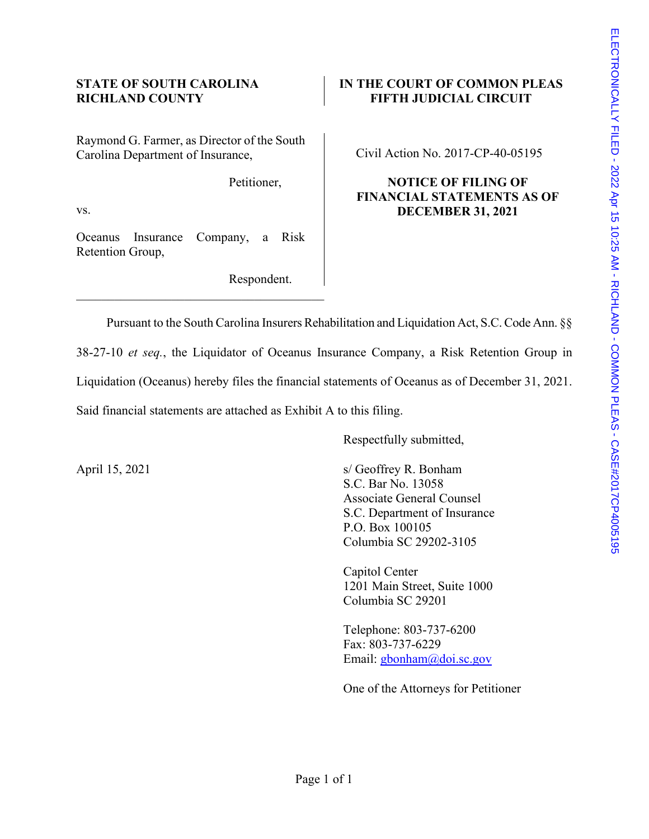Raymond G. Farmer, as Director of the South Carolina Department of Insurance,

Petitioner,

vs.

Oceanus Insurance Company, a Risk Retention Group,

\_\_\_\_\_\_\_\_\_\_\_\_\_\_\_\_\_\_\_\_\_\_\_\_\_\_\_\_\_\_\_\_\_\_\_\_\_\_\_

Respondent.

# **STATE OF SOUTH CAROLINA IN THE COURT OF COMMON PLEAS RICHLAND COUNTY FIFTH JUDICIAL CIRCUIT**

Civil Action No. 2017-CP-40-05195

# **NOTICE OF FILING OF FINANCIAL STATEMENTS AS OF DECEMBER 31, 2021**

Pursuant to the South Carolina Insurers Rehabilitation and Liquidation Act, S.C. Code Ann. §§

38-27-10 *et seq.*, the Liquidator of Oceanus Insurance Company, a Risk Retention Group in Liquidation (Oceanus) hereby files the financial statements of Oceanus as of December 31, 2021. Said financial statements are attached as Exhibit A to this filing.

Respectfully submitted,

April 15, 2021 s/ Geoffrey R. Bonham S.C. Bar No. 13058 Associate General Counsel S.C. Department of Insurance P.O. Box 100105 Columbia SC 29202-3105

> Capitol Center 1201 Main Street, Suite 1000 Columbia SC 29201

> Telephone: 803-737-6200 Fax: 803-737-6229 Email: [gbonham@doi.sc.gov](mailto:gbonham@doi.sc.gov)

One of the Attorneys for Petitioner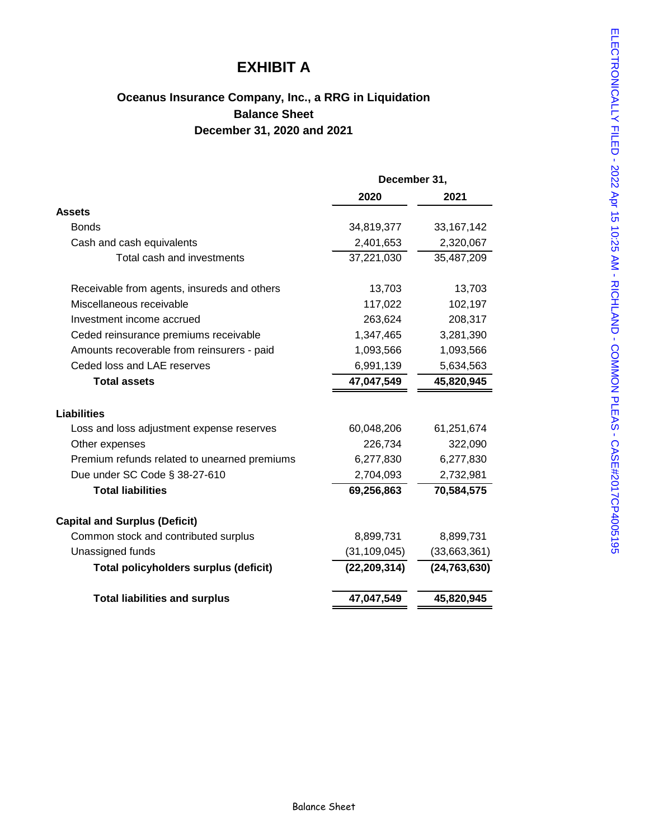# **EXHIBIT A**

# **Oceanus Insurance Company, Inc., a RRG in Liquidation Balance Sheet December 31, 2020 and 2021**

|                                              | December 31,   |                |  |
|----------------------------------------------|----------------|----------------|--|
|                                              | 2020           | 2021           |  |
| <b>Assets</b>                                |                |                |  |
| <b>Bonds</b>                                 | 34,819,377     | 33, 167, 142   |  |
| Cash and cash equivalents                    | 2,401,653      | 2,320,067      |  |
| Total cash and investments                   | 37,221,030     | 35,487,209     |  |
| Receivable from agents, insureds and others  | 13,703         | 13,703         |  |
| Miscellaneous receivable                     | 117,022        | 102,197        |  |
| Investment income accrued                    | 263,624        | 208,317        |  |
| Ceded reinsurance premiums receivable        | 1,347,465      | 3,281,390      |  |
| Amounts recoverable from reinsurers - paid   | 1,093,566      | 1,093,566      |  |
| Ceded loss and LAE reserves                  | 6,991,139      | 5,634,563      |  |
| <b>Total assets</b>                          | 47,047,549     | 45,820,945     |  |
| Liabilities                                  |                |                |  |
| Loss and loss adjustment expense reserves    | 60,048,206     | 61,251,674     |  |
| Other expenses                               | 226,734        | 322,090        |  |
| Premium refunds related to unearned premiums | 6,277,830      | 6,277,830      |  |
| Due under SC Code § 38-27-610                | 2,704,093      | 2,732,981      |  |
| <b>Total liabilities</b>                     | 69,256,863     | 70,584,575     |  |
| <b>Capital and Surplus (Deficit)</b>         |                |                |  |
| Common stock and contributed surplus         | 8,899,731      | 8,899,731      |  |
| Unassigned funds                             | (31, 109, 045) | (33,663,361)   |  |
| <b>Total policyholders surplus (deficit)</b> | (22, 209, 314) | (24, 763, 630) |  |
| <b>Total liabilities and surplus</b>         | 47,047,549     | 45,820,945     |  |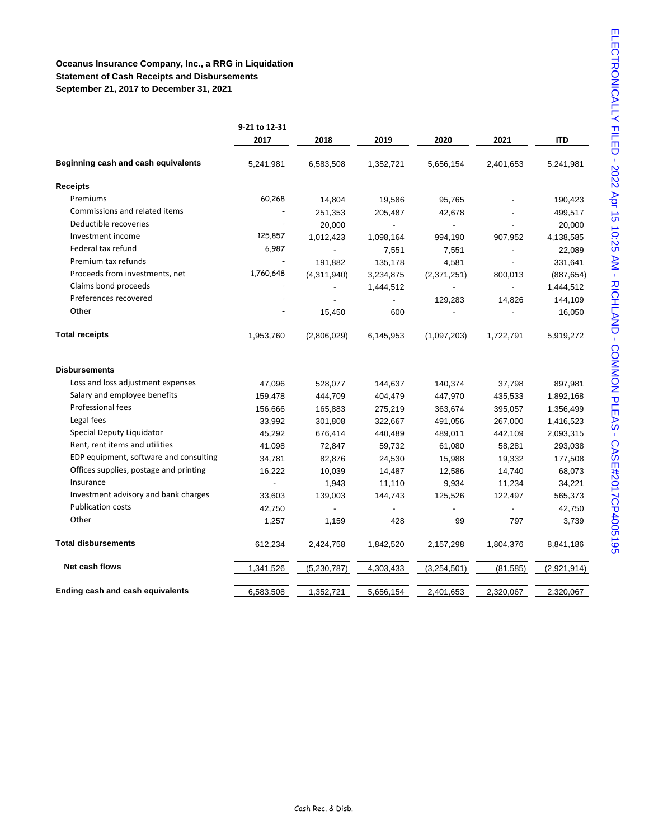## **Oceanus Insurance Company, Inc., a RRG in Liquidation Statement of Cash Receipts and Disbursements September 21, 2017 to December 31, 2021**

|                                         | 9-21 to 12-31 |                          |           |             |           |             |
|-----------------------------------------|---------------|--------------------------|-----------|-------------|-----------|-------------|
|                                         | 2017          | 2018                     | 2019      | 2020        | 2021      | ITD         |
| Beginning cash and cash equivalents     | 5,241,981     | 6,583,508                | 1,352,721 | 5,656,154   | 2,401,653 | 5,241,981   |
| <b>Receipts</b>                         |               |                          |           |             |           |             |
| Premiums                                | 60,268        | 14,804                   | 19,586    | 95,765      |           | 190,423     |
| Commissions and related items           |               | 251,353                  | 205,487   | 42,678      |           | 499,517     |
| Deductible recoveries                   |               | 20,000                   |           |             |           | 20,000      |
| Investment income                       | 125,857       | 1,012,423                | 1,098,164 | 994,190     | 907,952   | 4,138,585   |
| Federal tax refund                      | 6,987         | $\overline{\phantom{a}}$ | 7,551     | 7,551       |           | 22,089      |
| Premium tax refunds                     |               | 191,882                  | 135,178   | 4,581       |           | 331,641     |
| Proceeds from investments, net          | 1,760,648     | (4,311,940)              | 3,234,875 | (2,371,251) | 800,013   | (887, 654)  |
| Claims bond proceeds                    |               |                          | 1,444,512 |             |           | 1,444,512   |
| Preferences recovered                   |               |                          |           | 129,283     | 14,826    | 144,109     |
| Other                                   |               | 15,450                   | 600       |             |           | 16,050      |
| <b>Total receipts</b>                   | 1,953,760     | (2,806,029)              | 6,145,953 | (1,097,203) | 1,722,791 | 5,919,272   |
| <b>Disbursements</b>                    |               |                          |           |             |           |             |
| Loss and loss adjustment expenses       | 47,096        | 528,077                  | 144,637   | 140,374     | 37,798    | 897,981     |
| Salary and employee benefits            | 159,478       | 444,709                  | 404,479   | 447,970     | 435,533   | 1,892,168   |
| Professional fees                       | 156,666       | 165,883                  | 275,219   | 363,674     | 395,057   | 1,356,499   |
| Legal fees                              | 33,992        | 301,808                  | 322,667   | 491,056     | 267,000   | 1,416,523   |
| Special Deputy Liquidator               | 45,292        | 676,414                  | 440,489   | 489,011     | 442,109   | 2,093,315   |
| Rent, rent items and utilities          | 41,098        | 72,847                   | 59,732    | 61,080      | 58,281    | 293,038     |
| EDP equipment, software and consulting  | 34,781        | 82,876                   | 24,530    | 15,988      | 19,332    | 177,508     |
| Offices supplies, postage and printing  | 16,222        | 10,039                   | 14,487    | 12,586      | 14,740    | 68,073      |
| Insurance                               |               | 1,943                    | 11,110    | 9,934       | 11,234    | 34,221      |
| Investment advisory and bank charges    | 33,603        | 139,003                  | 144,743   | 125,526     | 122,497   | 565,373     |
| <b>Publication costs</b>                | 42,750        |                          |           |             |           | 42,750      |
| Other                                   | 1,257         | 1,159                    | 428       | 99          | 797       | 3,739       |
| <b>Total disbursements</b>              | 612,234       | 2,424,758                | 1,842,520 | 2,157,298   | 1,804,376 | 8,841,186   |
| Net cash flows                          | 1,341,526     | (5,230,787)              | 4,303,433 | (3,254,501) | (81, 585) | (2,921,914) |
| <b>Ending cash and cash equivalents</b> | 6,583,508     | 1,352,721                | 5,656,154 | 2,401,653   | 2,320,067 | 2,320,067   |